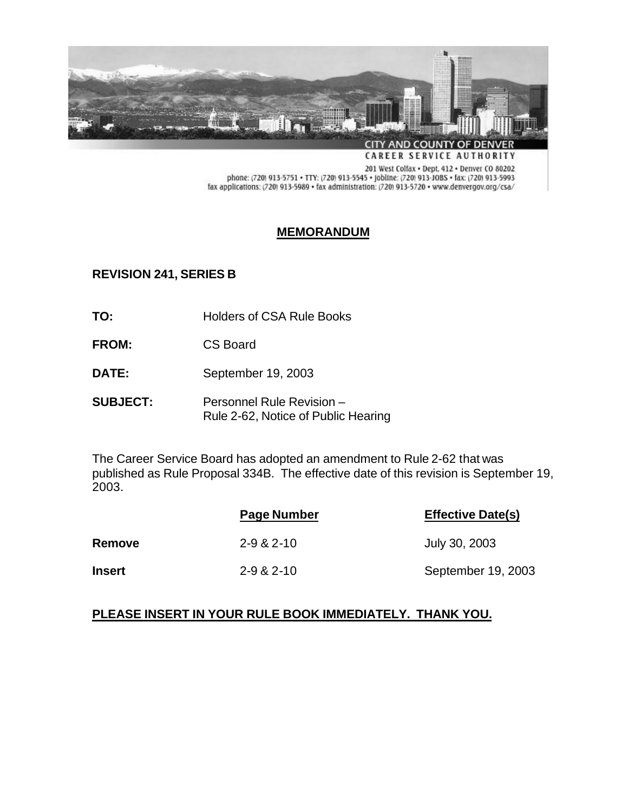

201 West Colfax . Dept. 412 . Denver CO 80202 phone: (720) 913-5751 • TTY: (720) 913-5545 • Jobline: (720) 913-JOBS • fax: (720) 913-5993 fax applications: (720) 913-5989 · fax administration: (720) 913-5720 · www.denvergov.org/csa/

# **MEMORANDUM**

## **REVISION 241, SERIES B**

- TO: Holders of CSA Rule Books
- **FROM:** CS Board
- **DATE:** September 19, 2003
- **SUBJECT:** Personnel Rule Revision Rule 2-62, Notice of Public Hearing

The Career Service Board has adopted an amendment to Rule 2-62 that was published as Rule Proposal 334B. The effective date of this revision is September 19, 2003.

|               | Page Number      | <b>Effective Date(s)</b> |
|---------------|------------------|--------------------------|
| <b>Remove</b> | $2 - 9 & 2 - 10$ | July 30, 2003            |
| <b>Insert</b> | $2 - 9 & 2 - 10$ | September 19, 2003       |

## **PLEASE INSERT IN YOUR RULE BOOK IMMEDIATELY. THANK YOU.**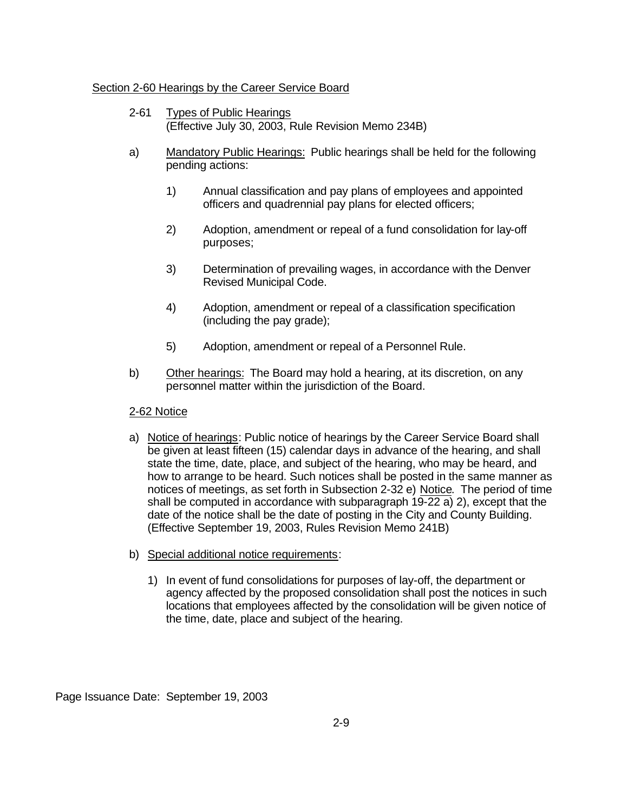#### Section 2-60 Hearings by the Career Service Board

- 2-61 Types of Public Hearings (Effective July 30, 2003, Rule Revision Memo 234B)
- a) Mandatory Public Hearings: Public hearings shall be held for the following pending actions:
	- 1) Annual classification and pay plans of employees and appointed officers and quadrennial pay plans for elected officers;
	- 2) Adoption, amendment or repeal of a fund consolidation for lay-off purposes;
	- 3) Determination of prevailing wages, in accordance with the Denver Revised Municipal Code.
	- 4) Adoption, amendment or repeal of a classification specification (including the pay grade);
	- 5) Adoption, amendment or repeal of a Personnel Rule.
- b) Other hearings: The Board may hold a hearing, at its discretion, on any personnel matter within the jurisdiction of the Board.

#### 2-62 Notice

- a) Notice of hearings: Public notice of hearings by the Career Service Board shall be given at least fifteen (15) calendar days in advance of the hearing, and shall state the time, date, place, and subject of the hearing, who may be heard, and how to arrange to be heard. Such notices shall be posted in the same manner as notices of meetings, as set forth in Subsection 2-32 e) Notice. The period of time shall be computed in accordance with subparagraph 19-22 a) 2), except that the date of the notice shall be the date of posting in the City and County Building. (Effective September 19, 2003, Rules Revision Memo 241B)
- b) Special additional notice requirements:
	- 1) In event of fund consolidations for purposes of lay-off, the department or agency affected by the proposed consolidation shall post the notices in such locations that employees affected by the consolidation will be given notice of the time, date, place and subject of the hearing.

Page Issuance Date: September 19, 2003